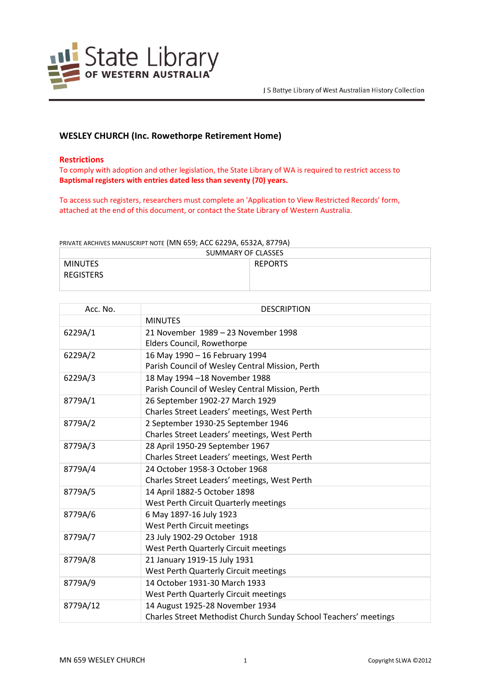

# **WESLEY CHURCH (Inc. Rowethorpe Retirement Home)**

### **Restrictions**

To comply with adoption and other legislation, the State Library of WA is required to restrict access to **Baptismal registers with entries dated less than seventy (70) years.**

To access such registers, researchers must complete an 'Application to View Restricted Records' form, attached at the end of this document, or contact the State Library of Western Australia.

PRIVATE ARCHIVES MANUSCRIPT NOTE (MN 659; ACC 6229A, 6532A, 8779A)

| SUMMARY OF CLASSES |                |
|--------------------|----------------|
| <b>MINUTES</b>     | <b>REPORTS</b> |
| <b>REGISTERS</b>   |                |

| Acc. No. | <b>DESCRIPTION</b>                                               |
|----------|------------------------------------------------------------------|
|          | <b>MINUTES</b>                                                   |
| 6229A/1  | 21 November 1989 – 23 November 1998                              |
|          | Elders Council, Rowethorpe                                       |
| 6229A/2  | 16 May 1990 - 16 February 1994                                   |
|          | Parish Council of Wesley Central Mission, Perth                  |
| 6229A/3  | 18 May 1994 -18 November 1988                                    |
|          | Parish Council of Wesley Central Mission, Perth                  |
| 8779A/1  | 26 September 1902-27 March 1929                                  |
|          | Charles Street Leaders' meetings, West Perth                     |
| 8779A/2  | 2 September 1930-25 September 1946                               |
|          | Charles Street Leaders' meetings, West Perth                     |
| 8779A/3  | 28 April 1950-29 September 1967                                  |
|          | Charles Street Leaders' meetings, West Perth                     |
| 8779A/4  | 24 October 1958-3 October 1968                                   |
|          | Charles Street Leaders' meetings, West Perth                     |
| 8779A/5  | 14 April 1882-5 October 1898                                     |
|          | West Perth Circuit Quarterly meetings                            |
| 8779A/6  | 6 May 1897-16 July 1923                                          |
|          | West Perth Circuit meetings                                      |
| 8779A/7  | 23 July 1902-29 October 1918                                     |
|          | West Perth Quarterly Circuit meetings                            |
| 8779A/8  | 21 January 1919-15 July 1931                                     |
|          | West Perth Quarterly Circuit meetings                            |
| 8779A/9  | 14 October 1931-30 March 1933                                    |
|          | West Perth Quarterly Circuit meetings                            |
| 8779A/12 | 14 August 1925-28 November 1934                                  |
|          | Charles Street Methodist Church Sunday School Teachers' meetings |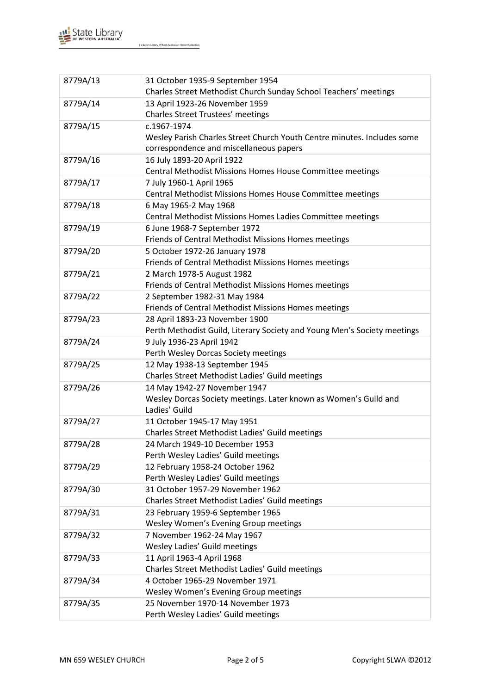

J S Battye Library of West Australian History Collection

| 8779A/13 | 31 October 1935-9 September 1954<br>Charles Street Methodist Church Sunday School Teachers' meetings |
|----------|------------------------------------------------------------------------------------------------------|
| 8779A/14 | 13 April 1923-26 November 1959<br><b>Charles Street Trustees' meetings</b>                           |
| 8779A/15 | c.1967-1974                                                                                          |
|          | Wesley Parish Charles Street Church Youth Centre minutes. Includes some                              |
|          |                                                                                                      |
|          | correspondence and miscellaneous papers                                                              |
| 8779A/16 | 16 July 1893-20 April 1922                                                                           |
|          | Central Methodist Missions Homes House Committee meetings                                            |
| 8779A/17 | 7 July 1960-1 April 1965                                                                             |
|          | Central Methodist Missions Homes House Committee meetings                                            |
| 8779A/18 | 6 May 1965-2 May 1968                                                                                |
|          | Central Methodist Missions Homes Ladies Committee meetings                                           |
| 8779A/19 | 6 June 1968-7 September 1972                                                                         |
|          | Friends of Central Methodist Missions Homes meetings                                                 |
| 8779A/20 | 5 October 1972-26 January 1978                                                                       |
|          | Friends of Central Methodist Missions Homes meetings                                                 |
| 8779A/21 | 2 March 1978-5 August 1982                                                                           |
|          | Friends of Central Methodist Missions Homes meetings                                                 |
| 8779A/22 | 2 September 1982-31 May 1984                                                                         |
|          | Friends of Central Methodist Missions Homes meetings                                                 |
| 8779A/23 | 28 April 1893-23 November 1900                                                                       |
|          | Perth Methodist Guild, Literary Society and Young Men's Society meetings                             |
| 8779A/24 | 9 July 1936-23 April 1942                                                                            |
|          | Perth Wesley Dorcas Society meetings                                                                 |
| 8779A/25 | 12 May 1938-13 September 1945                                                                        |
|          | Charles Street Methodist Ladies' Guild meetings                                                      |
| 8779A/26 | 14 May 1942-27 November 1947                                                                         |
|          | Wesley Dorcas Society meetings. Later known as Women's Guild and                                     |
|          | Ladies' Guild                                                                                        |
| 8779A/27 | 11 October 1945-17 May 1951                                                                          |
|          | Charles Street Methodist Ladies' Guild meetings                                                      |
| 8779A/28 | 24 March 1949-10 December 1953                                                                       |
|          | Perth Wesley Ladies' Guild meetings                                                                  |
| 8779A/29 | 12 February 1958-24 October 1962                                                                     |
|          | Perth Wesley Ladies' Guild meetings                                                                  |
| 8779A/30 | 31 October 1957-29 November 1962                                                                     |
|          | Charles Street Methodist Ladies' Guild meetings                                                      |
| 8779A/31 | 23 February 1959-6 September 1965                                                                    |
|          | Wesley Women's Evening Group meetings                                                                |
| 8779A/32 | 7 November 1962-24 May 1967                                                                          |
|          | Wesley Ladies' Guild meetings                                                                        |
| 8779A/33 | 11 April 1963-4 April 1968                                                                           |
|          | Charles Street Methodist Ladies' Guild meetings                                                      |
| 8779A/34 | 4 October 1965-29 November 1971                                                                      |
|          | Wesley Women's Evening Group meetings                                                                |
| 8779A/35 | 25 November 1970-14 November 1973                                                                    |
|          | Perth Wesley Ladies' Guild meetings                                                                  |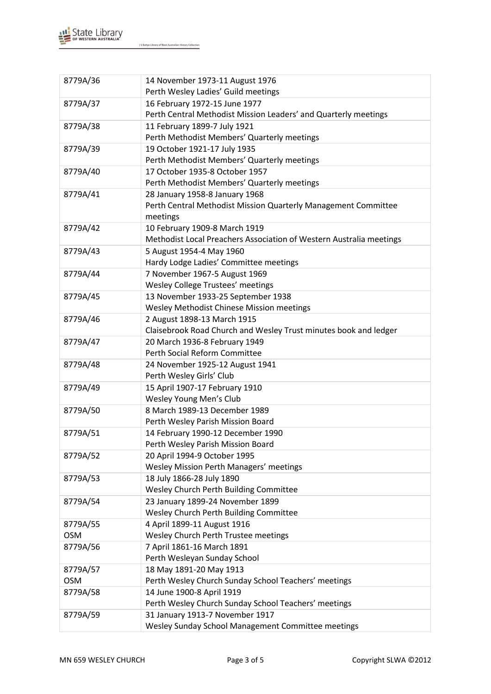

J S Battye Library of West Australian History Collection

| 8779A/36   | 14 November 1973-11 August 1976                                     |
|------------|---------------------------------------------------------------------|
|            | Perth Wesley Ladies' Guild meetings                                 |
| 8779A/37   | 16 February 1972-15 June 1977                                       |
|            | Perth Central Methodist Mission Leaders' and Quarterly meetings     |
| 8779A/38   | 11 February 1899-7 July 1921                                        |
|            | Perth Methodist Members' Quarterly meetings                         |
| 8779A/39   | 19 October 1921-17 July 1935                                        |
|            | Perth Methodist Members' Quarterly meetings                         |
| 8779A/40   | 17 October 1935-8 October 1957                                      |
|            | Perth Methodist Members' Quarterly meetings                         |
| 8779A/41   | 28 January 1958-8 January 1968                                      |
|            | Perth Central Methodist Mission Quarterly Management Committee      |
|            | meetings                                                            |
| 8779A/42   | 10 February 1909-8 March 1919                                       |
|            | Methodist Local Preachers Association of Western Australia meetings |
| 8779A/43   | 5 August 1954-4 May 1960                                            |
|            | Hardy Lodge Ladies' Committee meetings                              |
| 8779A/44   | 7 November 1967-5 August 1969                                       |
|            | Wesley College Trustees' meetings                                   |
| 8779A/45   | 13 November 1933-25 September 1938                                  |
|            | Wesley Methodist Chinese Mission meetings                           |
| 8779A/46   | 2 August 1898-13 March 1915                                         |
|            | Claisebrook Road Church and Wesley Trust minutes book and ledger    |
| 8779A/47   | 20 March 1936-8 February 1949<br>Perth Social Reform Committee      |
|            |                                                                     |
| 8779A/48   | 24 November 1925-12 August 1941<br>Perth Wesley Girls' Club         |
| 8779A/49   | 15 April 1907-17 February 1910                                      |
|            | Wesley Young Men's Club                                             |
| 8779A/50   | 8 March 1989-13 December 1989                                       |
|            | Perth Wesley Parish Mission Board                                   |
| 8779A/51   | 14 February 1990-12 December 1990                                   |
|            | Perth Wesley Parish Mission Board                                   |
| 8779A/52   | 20 April 1994-9 October 1995                                        |
|            | Wesley Mission Perth Managers' meetings                             |
| 8779A/53   | 18 July 1866-28 July 1890                                           |
|            | Wesley Church Perth Building Committee                              |
| 8779A/54   | 23 January 1899-24 November 1899                                    |
|            | Wesley Church Perth Building Committee                              |
| 8779A/55   | 4 April 1899-11 August 1916                                         |
| <b>OSM</b> | Wesley Church Perth Trustee meetings                                |
| 8779A/56   | 7 April 1861-16 March 1891                                          |
|            | Perth Wesleyan Sunday School                                        |
| 8779A/57   | 18 May 1891-20 May 1913                                             |
| <b>OSM</b> | Perth Wesley Church Sunday School Teachers' meetings                |
| 8779A/58   | 14 June 1900-8 April 1919                                           |
|            | Perth Wesley Church Sunday School Teachers' meetings                |
| 8779A/59   | 31 January 1913-7 November 1917                                     |
|            | Wesley Sunday School Management Committee meetings                  |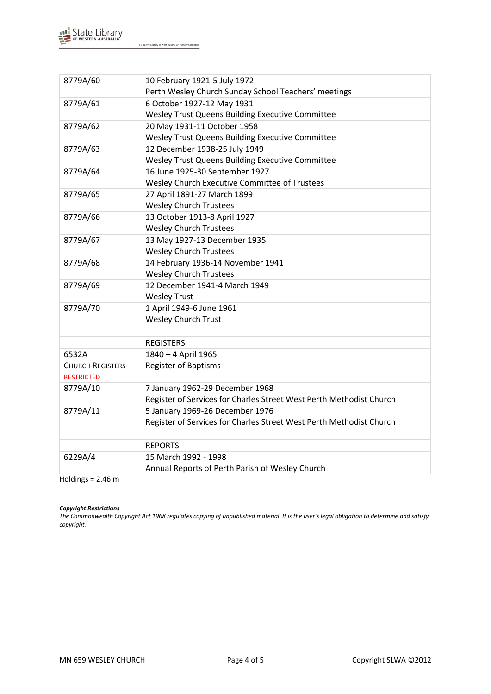

J S Battye Library of West Australian History Collection

| 8779A/60                | 10 February 1921-5 July 1972                                        |
|-------------------------|---------------------------------------------------------------------|
|                         | Perth Wesley Church Sunday School Teachers' meetings                |
| 8779A/61                | 6 October 1927-12 May 1931                                          |
|                         | Wesley Trust Queens Building Executive Committee                    |
| 8779A/62                | 20 May 1931-11 October 1958                                         |
|                         | Wesley Trust Queens Building Executive Committee                    |
| 8779A/63                | 12 December 1938-25 July 1949                                       |
|                         | Wesley Trust Queens Building Executive Committee                    |
| 8779A/64                | 16 June 1925-30 September 1927                                      |
|                         | Wesley Church Executive Committee of Trustees                       |
| 8779A/65                | 27 April 1891-27 March 1899                                         |
|                         | <b>Wesley Church Trustees</b>                                       |
| 8779A/66                | 13 October 1913-8 April 1927                                        |
|                         | <b>Wesley Church Trustees</b>                                       |
| 8779A/67                | 13 May 1927-13 December 1935                                        |
|                         | <b>Wesley Church Trustees</b>                                       |
| 8779A/68                | 14 February 1936-14 November 1941                                   |
|                         | <b>Wesley Church Trustees</b>                                       |
| 8779A/69                | 12 December 1941-4 March 1949                                       |
|                         | <b>Wesley Trust</b>                                                 |
| 8779A/70                | 1 April 1949-6 June 1961                                            |
|                         | <b>Wesley Church Trust</b>                                          |
|                         |                                                                     |
|                         | <b>REGISTERS</b>                                                    |
| 6532A                   | 1840 - 4 April 1965                                                 |
| <b>CHURCH REGISTERS</b> | <b>Register of Baptisms</b>                                         |
| <b>RESTRICTED</b>       |                                                                     |
| 8779A/10                | 7 January 1962-29 December 1968                                     |
|                         | Register of Services for Charles Street West Perth Methodist Church |
| 8779A/11                | 5 January 1969-26 December 1976                                     |
|                         | Register of Services for Charles Street West Perth Methodist Church |
|                         |                                                                     |
|                         | <b>REPORTS</b>                                                      |
| 6229A/4                 | 15 March 1992 - 1998                                                |
|                         | Annual Reports of Perth Parish of Wesley Church                     |

Holdings = 2.46 m

#### *Copyright Restrictions*

*The Commonwealth Copyright Act 1968 regulates copying of unpublished material. It is the user's legal obligation to determine and satisfy copyright.*